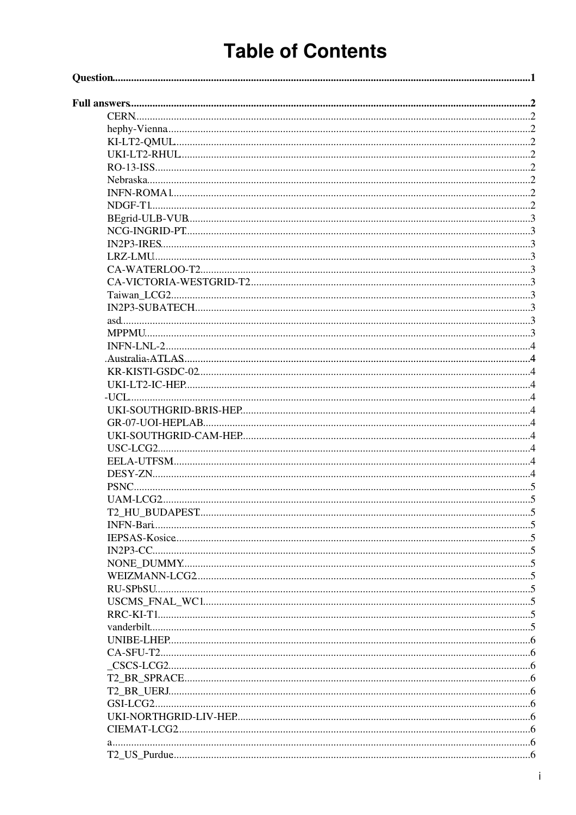# **Table of Contents**

| USC-LCG2 |  |
|----------|--|
|          |  |
|          |  |
|          |  |
|          |  |
|          |  |
|          |  |
|          |  |
|          |  |
|          |  |
|          |  |
|          |  |
|          |  |
|          |  |
|          |  |
|          |  |
|          |  |
|          |  |
|          |  |
|          |  |
|          |  |
|          |  |
|          |  |
|          |  |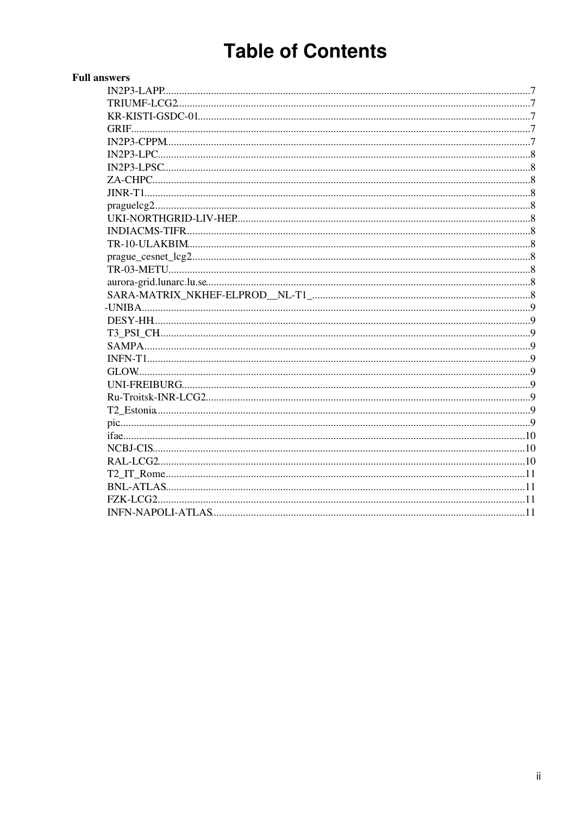# **Table of Contents**

| <b>Full answers</b> |  |
|---------------------|--|
|                     |  |
|                     |  |
|                     |  |
|                     |  |
|                     |  |
|                     |  |
|                     |  |
|                     |  |
|                     |  |
|                     |  |
|                     |  |
|                     |  |
|                     |  |
|                     |  |
|                     |  |
|                     |  |
|                     |  |
|                     |  |
|                     |  |
|                     |  |
|                     |  |
|                     |  |
|                     |  |
|                     |  |
|                     |  |
|                     |  |
|                     |  |
|                     |  |
|                     |  |
|                     |  |
|                     |  |
|                     |  |
|                     |  |
|                     |  |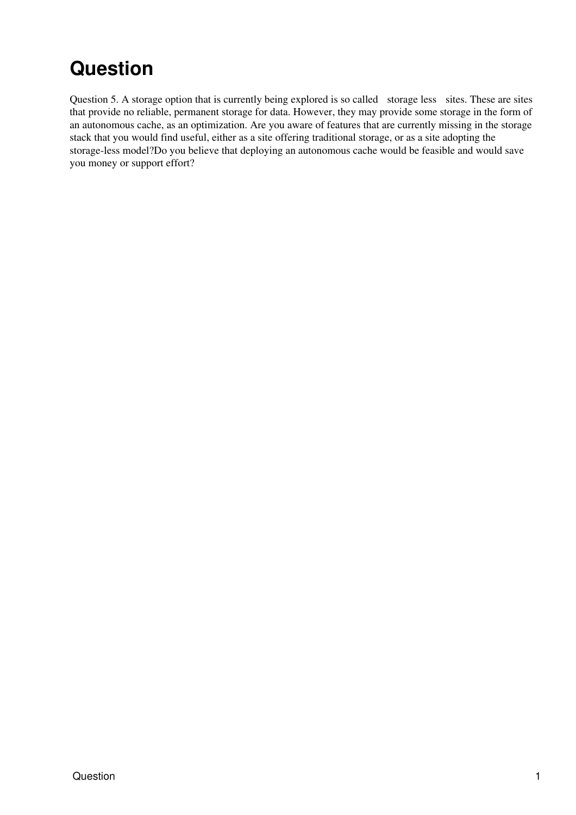## <span id="page-2-0"></span>**Question**

Question 5. A storage option that is currently being explored is so called storage less sites. These are sites that provide no reliable, permanent storage for data. However, they may provide some storage in the form of an autonomous cache, as an optimization. Are you aware of features that are currently missing in the storage stack that you would find useful, either as a site offering traditional storage, or as a site adopting the storage-less model?Do you believe that deploying an autonomous cache would be feasible and would save you money or support effort?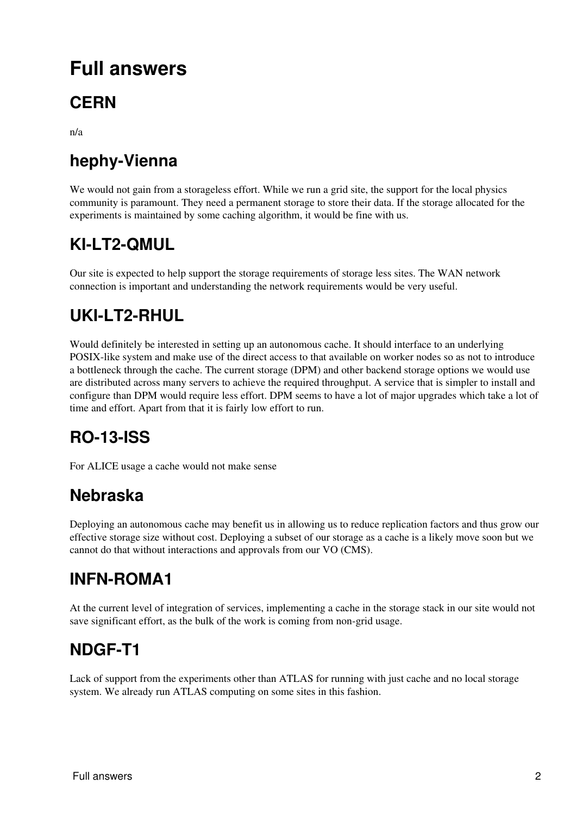## <span id="page-3-0"></span>**Full answers**

## <span id="page-3-1"></span>**CERN**

n/a

## <span id="page-3-2"></span>**hephy-Vienna**

We would not gain from a storageless effort. While we run a grid site, the support for the local physics community is paramount. They need a permanent storage to store their data. If the storage allocated for the experiments is maintained by some caching algorithm, it would be fine with us.

### <span id="page-3-3"></span>**KI-LT2-QMUL**

Our site is expected to help support the storage requirements of storage less sites. The WAN network connection is important and understanding the network requirements would be very useful.

## <span id="page-3-4"></span>**UKI-LT2-RHUL**

Would definitely be interested in setting up an autonomous cache. It should interface to an underlying POSIX-like system and make use of the direct access to that available on worker nodes so as not to introduce a bottleneck through the cache. The current storage (DPM) and other backend storage options we would use are distributed across many servers to achieve the required throughput. A service that is simpler to install and configure than DPM would require less effort. DPM seems to have a lot of major upgrades which take a lot of time and effort. Apart from that it is fairly low effort to run.

## <span id="page-3-5"></span>**RO-13-ISS**

For ALICE usage a cache would not make sense

#### <span id="page-3-6"></span>**Nebraska**

Deploying an autonomous cache may benefit us in allowing us to reduce replication factors and thus grow our effective storage size without cost. Deploying a subset of our storage as a cache is a likely move soon but we cannot do that without interactions and approvals from our VO (CMS).

#### <span id="page-3-7"></span>**INFN-ROMA1**

At the current level of integration of services, implementing a cache in the storage stack in our site would not save significant effort, as the bulk of the work is coming from non-grid usage.

#### <span id="page-3-8"></span>**NDGF-T1**

Lack of support from the experiments other than ATLAS for running with just cache and no local storage system. We already run ATLAS computing on some sites in this fashion.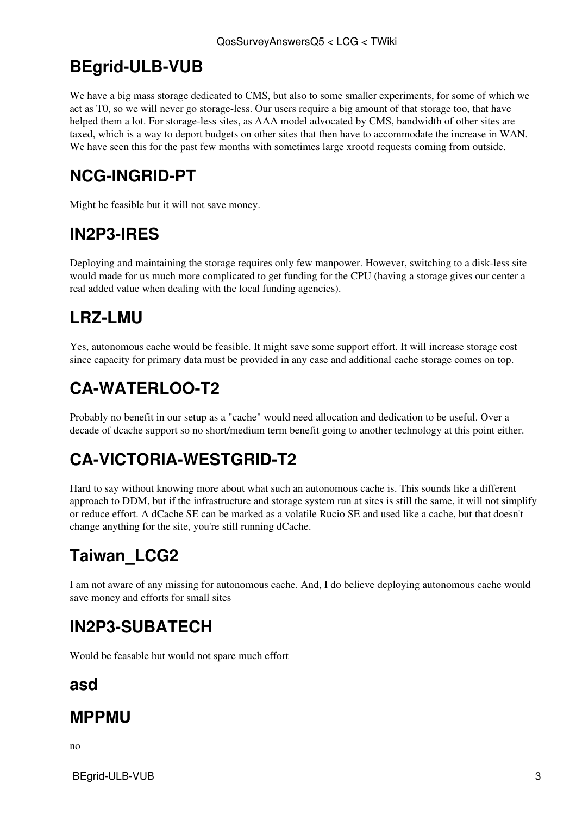### <span id="page-4-0"></span>**BEgrid-ULB-VUB**

We have a big mass storage dedicated to CMS, but also to some smaller experiments, for some of which we act as T0, so we will never go storage-less. Our users require a big amount of that storage too, that have helped them a lot. For storage-less sites, as AAA model advocated by CMS, bandwidth of other sites are taxed, which is a way to deport budgets on other sites that then have to accommodate the increase in WAN. We have seen this for the past few months with sometimes large xrootd requests coming from outside.

## <span id="page-4-1"></span>**NCG-INGRID-PT**

Might be feasible but it will not save money.

## <span id="page-4-2"></span>**[IN2P3](https://twiki.cern.ch/twiki/bin/view/LCG/IN2P3)-IRES**

Deploying and maintaining the storage requires only few manpower. However, switching to a disk-less site would made for us much more complicated to get funding for the CPU (having a storage gives our center a real added value when dealing with the local funding agencies).

### <span id="page-4-3"></span>**LRZ-LMU**

Yes, autonomous cache would be feasible. It might save some support effort. It will increase storage cost since capacity for primary data must be provided in any case and additional cache storage comes on top.

## <span id="page-4-4"></span>**CA-WATERLOO-T2**

Probably no benefit in our setup as a "cache" would need allocation and dedication to be useful. Over a decade of dcache support so no short/medium term benefit going to another technology at this point either.

## <span id="page-4-5"></span>**CA-VICTORIA-WESTGRID-T2**

Hard to say without knowing more about what such an autonomous cache is. This sounds like a different approach to DDM, but if the infrastructure and storage system run at sites is still the same, it will not simplify or reduce effort. A dCache SE can be marked as a volatile Rucio SE and used like a cache, but that doesn't change anything for the site, you're still running dCache.

## <span id="page-4-6"></span>**Taiwan\_LCG2**

I am not aware of any missing for autonomous cache. And, I do believe deploying autonomous cache would save money and efforts for small sites

### <span id="page-4-7"></span>**[IN2P3](https://twiki.cern.ch/twiki/bin/view/LCG/IN2P3)-SUBATECH**

Would be feasable but would not spare much effort

#### <span id="page-4-8"></span>**asd**

#### <span id="page-4-9"></span>**MPPMU**

no

BEgrid-ULB-VUB 3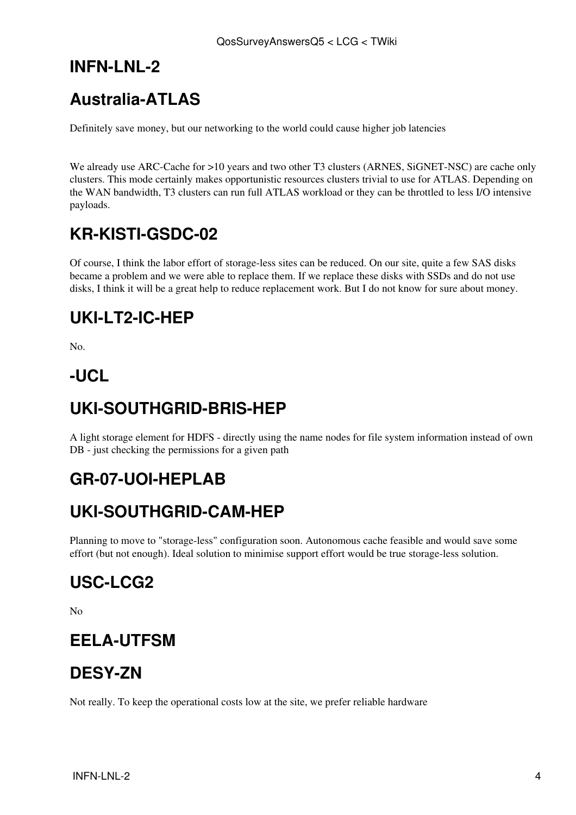### <span id="page-5-0"></span>**INFN-LNL-2**

## <span id="page-5-1"></span>**Australia-ATLAS**

Definitely save money, but our networking to the world could cause higher job latencies

We already use ARC-Cache for >10 years and two other T3 clusters (ARNES, [SiGNET-](https://twiki.cern.ch/twiki/bin/edit/LCG/SiGNET?topicparent=LCG.QosSurveyAnswersQ5;nowysiwyg=1)NSC) are cache only clusters. This mode certainly makes opportunistic resources clusters trivial to use for ATLAS. Depending on the WAN bandwidth, T3 clusters can run full ATLAS workload or they can be throttled to less I/O intensive payloads.

## <span id="page-5-2"></span>**KR-KISTI-GSDC-02**

Of course, I think the labor effort of storage-less sites can be reduced. On our site, quite a few SAS disks became a problem and we were able to replace them. If we replace these disks with SSDs and do not use disks, I think it will be a great help to reduce replacement work. But I do not know for sure about money.

## <span id="page-5-3"></span>**UKI-LT2-IC-HEP**

No.

#### <span id="page-5-4"></span>**-UCL**

## <span id="page-5-5"></span>**UKI-SOUTHGRID-BRIS-HEP**

A light storage element for HDFS - directly using the name nodes for file system information instead of own DB - just checking the permissions for a given path

### <span id="page-5-6"></span>**GR-07-UOI-HEPLAB**

### <span id="page-5-7"></span>**UKI-SOUTHGRID-CAM-HEP**

Planning to move to "storage-less" configuration soon. Autonomous cache feasible and would save some effort (but not enough). Ideal solution to minimise support effort would be true storage-less solution.

## <span id="page-5-8"></span>**USC-LCG2**

 $N<sub>0</sub>$ 

#### <span id="page-5-9"></span>**EELA-UTFSM**

#### <span id="page-5-10"></span>**DESY-ZN**

Not really. To keep the operational costs low at the site, we prefer reliable hardware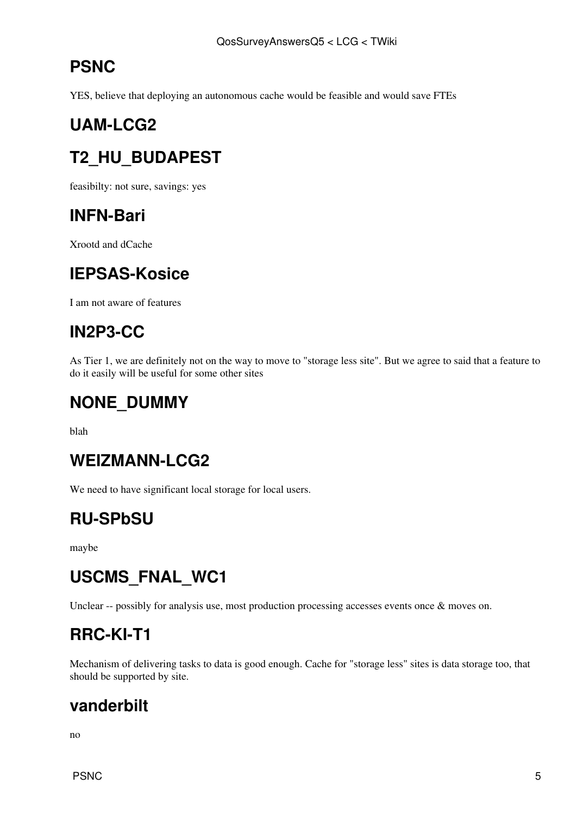## <span id="page-6-0"></span>**PSNC**

YES, believe that deploying an autonomous cache would be feasible and would save FTEs

## <span id="page-6-1"></span>**UAM-LCG2**

## <span id="page-6-2"></span>**T2\_HU\_BUDAPEST**

feasibilty: not sure, savings: yes

#### <span id="page-6-3"></span>**INFN-Bari**

Xrootd and dCache

## <span id="page-6-4"></span>**IEPSAS-Kosice**

I am not aware of features

### <span id="page-6-5"></span>**[IN2P3](https://twiki.cern.ch/twiki/bin/view/LCG/IN2P3)-CC**

As Tier 1, we are definitely not on the way to move to "storage less site". But we agree to said that a feature to do it easily will be useful for some other sites

#### <span id="page-6-6"></span>**NONE\_DUMMY**

blah

#### <span id="page-6-7"></span>**WEIZMANN-LCG2**

We need to have significant local storage for local users.

## <span id="page-6-8"></span>**RU-SPbSU**

maybe

## <span id="page-6-9"></span>**USCMS\_FNAL\_WC1**

Unclear -- possibly for analysis use, most production processing accesses events once & moves on.

### <span id="page-6-10"></span>**RRC-KI-T1**

Mechanism of delivering tasks to data is good enough. Cache for "storage less" sites is data storage too, that should be supported by site.

#### <span id="page-6-11"></span>**vanderbilt**

no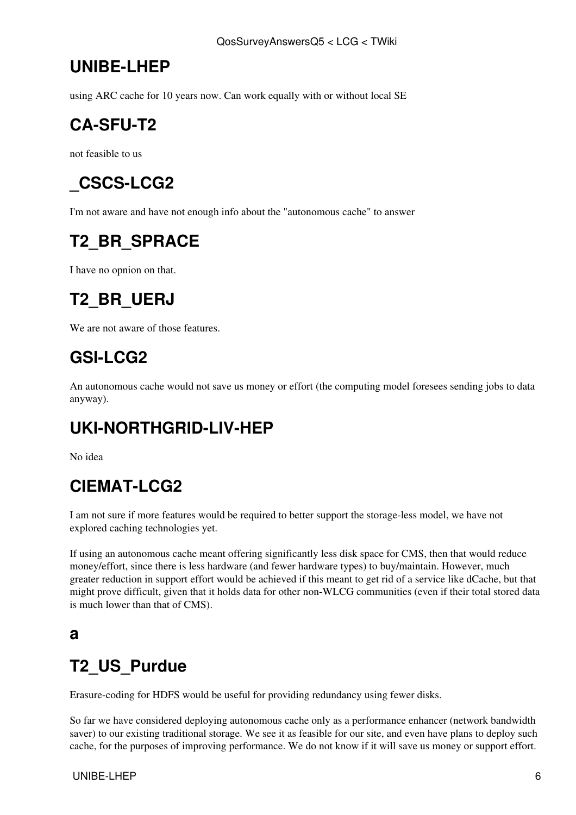### <span id="page-7-0"></span>**UNIBE-LHEP**

using ARC cache for 10 years now. Can work equally with or without local SE

## <span id="page-7-1"></span>**CA-SFU-T2**

not feasible to us

## <span id="page-7-2"></span>**\_CSCS-LCG2**

I'm not aware and have not enough info about the "autonomous cache" to answer

## <span id="page-7-3"></span>**T2\_BR\_SPRACE**

I have no opnion on that.

## <span id="page-7-4"></span>**T2\_BR\_UERJ**

We are not aware of those features.

### <span id="page-7-5"></span>**GSI-LCG2**

An autonomous cache would not save us money or effort (the computing model foresees sending jobs to data anyway).

## <span id="page-7-6"></span>**UKI-NORTHGRID-LIV-HEP**

No idea

### <span id="page-7-7"></span>**CIEMAT-LCG2**

I am not sure if more features would be required to better support the storage-less model, we have not explored caching technologies yet.

If using an autonomous cache meant offering significantly less disk space for CMS, then that would reduce money/effort, since there is less hardware (and fewer hardware types) to buy/maintain. However, much greater reduction in support effort would be achieved if this meant to get rid of a service like dCache, but that might prove difficult, given that it holds data for other non-WLCG communities (even if their total stored data is much lower than that of CMS).

#### <span id="page-7-8"></span>**a**

### <span id="page-7-9"></span>**T2\_US\_Purdue**

Erasure-coding for HDFS would be useful for providing redundancy using fewer disks.

So far we have considered deploying autonomous cache only as a performance enhancer (network bandwidth saver) to our existing traditional storage. We see it as feasible for our site, and even have plans to deploy such cache, for the purposes of improving performance. We do not know if it will save us money or support effort.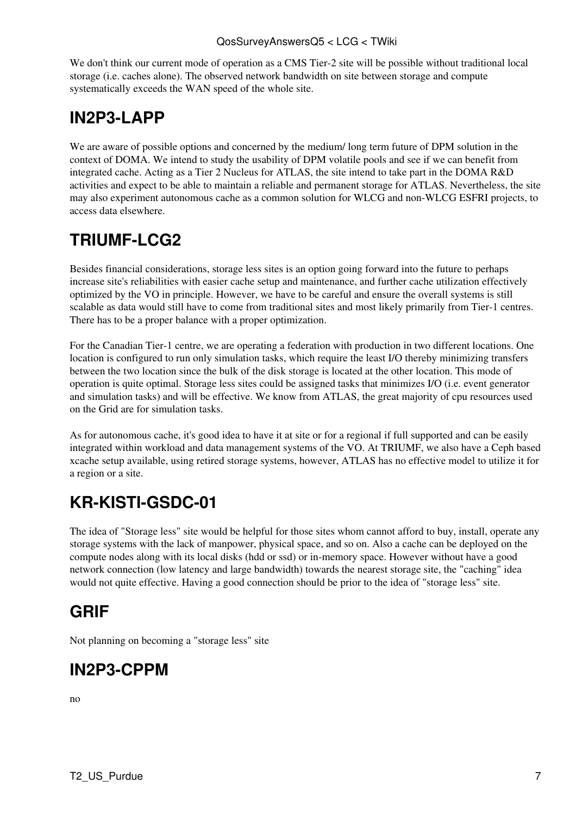We don't think our current mode of operation as a CMS Tier-2 site will be possible without traditional local storage (i.e. caches alone). The observed network bandwidth on site between storage and compute systematically exceeds the WAN speed of the whole site.

## <span id="page-8-0"></span>**[IN2P3](https://twiki.cern.ch/twiki/bin/view/LCG/IN2P3)-LAPP**

We are aware of possible options and concerned by the medium/ long term future of DPM solution in the context of DOMA. We intend to study the usability of DPM volatile pools and see if we can benefit from integrated cache. Acting as a Tier 2 Nucleus for ATLAS, the site intend to take part in the DOMA R&D activities and expect to be able to maintain a reliable and permanent storage for ATLAS. Nevertheless, the site may also experiment autonomous cache as a common solution for WLCG and non-WLCG ESFRI projects, to access data elsewhere.

## <span id="page-8-1"></span>**TRIUMF-LCG2**

Besides financial considerations, storage less sites is an option going forward into the future to perhaps increase site's reliabilities with easier cache setup and maintenance, and further cache utilization effectively optimized by the VO in principle. However, we have to be careful and ensure the overall systems is still scalable as data would still have to come from traditional sites and most likely primarily from Tier-1 centres. There has to be a proper balance with a proper optimization.

For the Canadian Tier-1 centre, we are operating a federation with production in two different locations. One location is configured to run only simulation tasks, which require the least I/O thereby minimizing transfers between the two location since the bulk of the disk storage is located at the other location. This mode of operation is quite optimal. Storage less sites could be assigned tasks that minimizes I/O (i.e. event generator and simulation tasks) and will be effective. We know from ATLAS, the great majority of cpu resources used on the Grid are for simulation tasks.

As for autonomous cache, it's good idea to have it at site or for a regional if full supported and can be easily integrated within workload and data management systems of the VO. At TRIUMF, we also have a Ceph based xcache setup available, using retired storage systems, however, ATLAS has no effective model to utilize it for a region or a site.

## <span id="page-8-2"></span>**KR-KISTI-GSDC-01**

The idea of "Storage less" site would be helpful for those sites whom cannot afford to buy, install, operate any storage systems with the lack of manpower, physical space, and so on. Also a cache can be deployed on the compute nodes along with its local disks (hdd or ssd) or in-memory space. However without have a good network connection (low latency and large bandwidth) towards the nearest storage site, the "caching" idea would not quite effective. Having a good connection should be prior to the idea of "storage less" site.

## <span id="page-8-3"></span>**GRIF**

Not planning on becoming a "storage less" site

### <span id="page-8-4"></span>**[IN2P3](https://twiki.cern.ch/twiki/bin/view/LCG/IN2P3)-CPPM**

no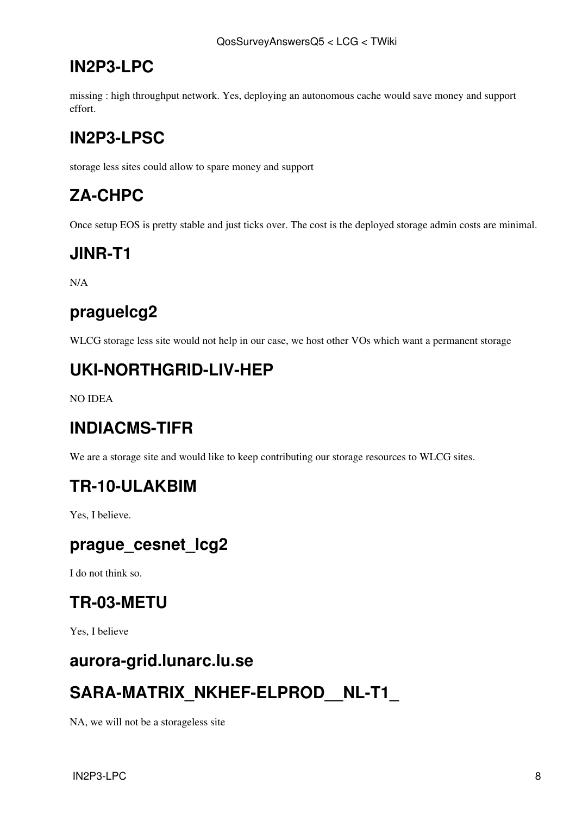#### <span id="page-9-0"></span>**[IN2P3](https://twiki.cern.ch/twiki/bin/view/LCG/IN2P3)-LPC**

missing : high throughput network. Yes, deploying an autonomous cache would save money and support effort.

## <span id="page-9-1"></span>**[IN2P3](https://twiki.cern.ch/twiki/bin/view/LCG/IN2P3)-LPSC**

storage less sites could allow to spare money and support

## <span id="page-9-2"></span>**ZA-CHPC**

Once setup EOS is pretty stable and just ticks over. The cost is the deployed storage admin costs are minimal.

#### <span id="page-9-3"></span>**JINR-T1**

N/A

#### <span id="page-9-4"></span>**praguelcg2**

WLCG storage less site would not help in our case, we host other VOs which want a permanent storage

### <span id="page-9-5"></span>**UKI-NORTHGRID-LIV-HEP**

NO IDEA

#### <span id="page-9-6"></span>**INDIACMS-TIFR**

We are a storage site and would like to keep contributing our storage resources to WLCG sites.

#### <span id="page-9-7"></span>**TR-10-ULAKBIM**

Yes, I believe.

#### <span id="page-9-8"></span>**prague\_cesnet\_lcg2**

I do not think so.

#### <span id="page-9-9"></span>**TR-03-METU**

Yes, I believe

#### <span id="page-9-10"></span>**aurora-grid.lunarc.lu.se**

### <span id="page-9-11"></span>**SARA-MATRIX\_NKHEF-ELPROD\_\_NL-T1\_**

NA, we will not be a storageless site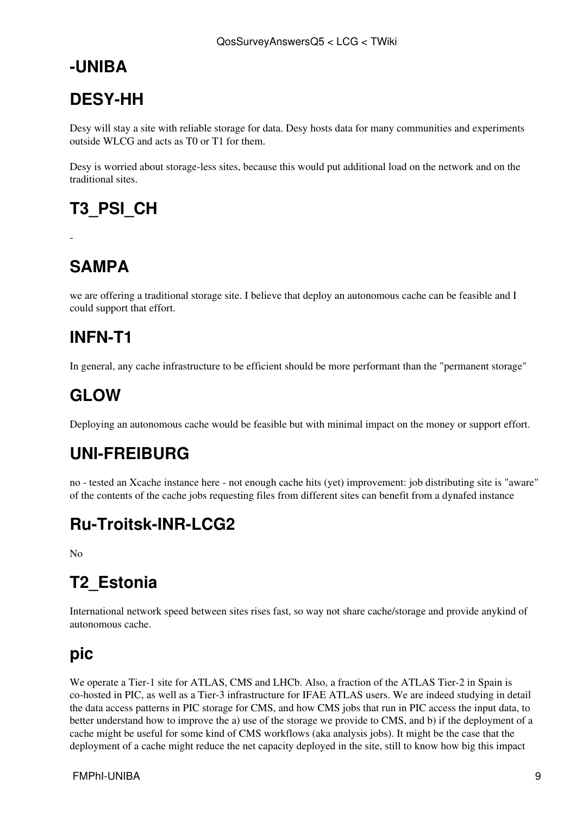#### <span id="page-10-0"></span>**-UNIBA**

## <span id="page-10-1"></span>**DESY-HH**

Desy will stay a site with reliable storage for data. Desy hosts data for many communities and experiments outside WLCG and acts as T0 or T1 for them.

Desy is worried about storage-less sites, because this would put additional load on the network and on the traditional sites.

## <span id="page-10-2"></span>**T3\_PSI\_CH**

## <span id="page-10-3"></span>**SAMPA**

-

we are offering a traditional storage site. I believe that deploy an autonomous cache can be feasible and I could support that effort.

### <span id="page-10-4"></span>**INFN-T1**

In general, any cache infrastructure to be efficient should be more performant than the "permanent storage"

## <span id="page-10-5"></span>**GLOW**

Deploying an autonomous cache would be feasible but with minimal impact on the money or support effort.

## <span id="page-10-6"></span>**UNI-FREIBURG**

no - tested an Xcache instance here - not enough cache hits (yet) improvement: job distributing site is "aware" of the contents of the cache jobs requesting files from different sites can benefit from a dynafed instance

## <span id="page-10-7"></span>**Ru-Troitsk-INR-LCG2**

 $N<sub>0</sub>$ 

## <span id="page-10-8"></span>**T2\_Estonia**

International network speed between sites rises fast, so way not share cache/storage and provide anykind of autonomous cache.

### <span id="page-10-9"></span>**pic**

We operate a Tier-1 site for ATLAS, CMS and LHCb. Also, a fraction of the ATLAS Tier-2 in Spain is co-hosted in PIC, as well as a Tier-3 infrastructure for IFAE ATLAS users. We are indeed studying in detail the data access patterns in PIC storage for CMS, and how CMS jobs that run in PIC access the input data, to better understand how to improve the a) use of the storage we provide to CMS, and b) if the deployment of a cache might be useful for some kind of CMS workflows (aka analysis jobs). It might be the case that the deployment of a cache might reduce the net capacity deployed in the site, still to know how big this impact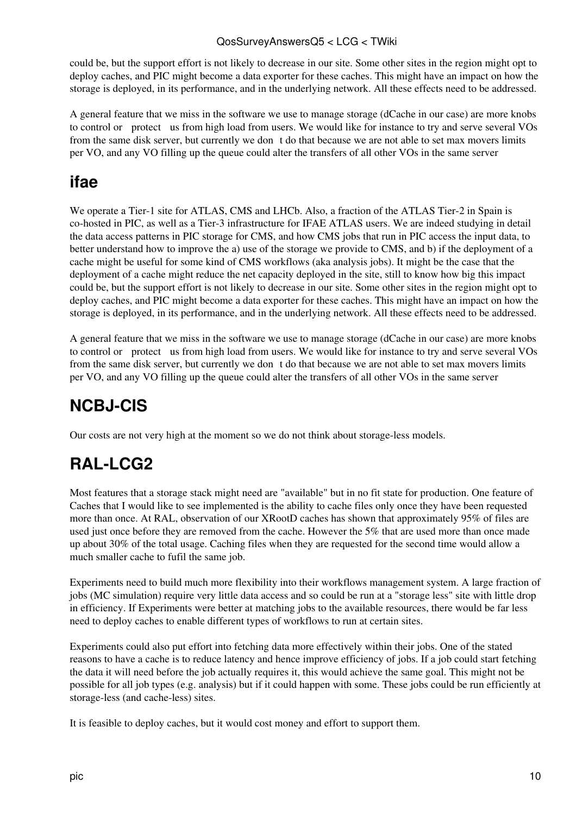#### QosSurveyAnswersQ5 < LCG < TWiki

could be, but the support effort is not likely to decrease in our site. Some other sites in the region might opt to deploy caches, and PIC might become a data exporter for these caches. This might have an impact on how the storage is deployed, in its performance, and in the underlying network. All these effects need to be addressed.

A general feature that we miss in the software we use to manage storage (dCache in our case) are more knobs to control or protect us from high load from users. We would like for instance to try and serve several VOs from the same disk server, but currently we dont do that because we are not able to set max movers limits per VO, and any VO filling up the queue could alter the transfers of all other VOs in the same server

#### <span id="page-11-0"></span>**ifae**

We operate a Tier-1 site for ATLAS, CMS and LHCb. Also, a fraction of the ATLAS Tier-2 in Spain is co-hosted in PIC, as well as a Tier-3 infrastructure for IFAE ATLAS users. We are indeed studying in detail the data access patterns in PIC storage for CMS, and how CMS jobs that run in PIC access the input data, to better understand how to improve the a) use of the storage we provide to CMS, and b) if the deployment of a cache might be useful for some kind of CMS workflows (aka analysis jobs). It might be the case that the deployment of a cache might reduce the net capacity deployed in the site, still to know how big this impact could be, but the support effort is not likely to decrease in our site. Some other sites in the region might opt to deploy caches, and PIC might become a data exporter for these caches. This might have an impact on how the storage is deployed, in its performance, and in the underlying network. All these effects need to be addressed.

A general feature that we miss in the software we use to manage storage (dCache in our case) are more knobs to control or protect us from high load from users. We would like for instance to try and serve several VOs from the same disk server, but currently we dont do that because we are not able to set max movers limits per VO, and any VO filling up the queue could alter the transfers of all other VOs in the same server

## <span id="page-11-1"></span>**NCBJ-CIS**

Our costs are not very high at the moment so we do not think about storage-less models.

## <span id="page-11-2"></span>**[RAL-](https://twiki.cern.ch/twiki/bin/view/LCG/RAL)LCG2**

Most features that a storage stack might need are "available" but in no fit state for production. One feature of Caches that I would like to see implemented is the ability to cache files only once they have been requested more than once. At [RAL](https://twiki.cern.ch/twiki/bin/view/LCG/RAL), observation of our [XRootD](https://twiki.cern.ch/twiki/bin/edit/LCG/XRootD?topicparent=LCG.QosSurveyAnswersQ5;nowysiwyg=1) caches has shown that approximately 95% of files are used just once before they are removed from the cache. However the 5% that are used more than once made up about 30% of the total usage. Caching files when they are requested for the second time would allow a much smaller cache to fufil the same job.

Experiments need to build much more flexibility into their workflows management system. A large fraction of jobs (MC simulation) require very little data access and so could be run at a "storage less" site with little drop in efficiency. If Experiments were better at matching jobs to the available resources, there would be far less need to deploy caches to enable different types of workflows to run at certain sites.

Experiments could also put effort into fetching data more effectively within their jobs. One of the stated reasons to have a cache is to reduce latency and hence improve efficiency of jobs. If a job could start fetching the data it will need before the job actually requires it, this would achieve the same goal. This might not be possible for all job types (e.g. analysis) but if it could happen with some. These jobs could be run efficiently at storage-less (and cache-less) sites.

It is feasible to deploy caches, but it would cost money and effort to support them.